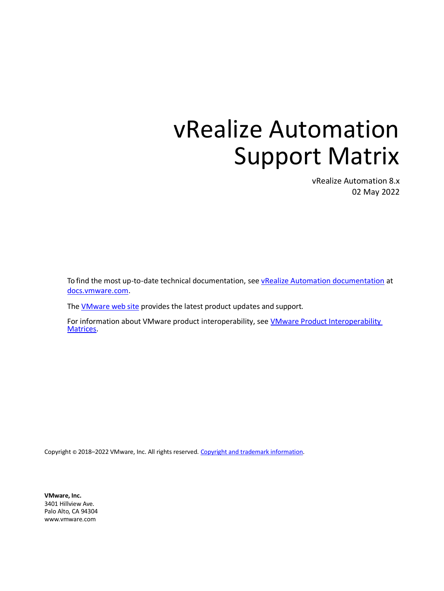# vRealize Automation Support Matrix

vRealize Automation 8.x 02 May 2022

To find the most up-to-date technical documentation, see [vRealize Automation documentation](https://docs.vmware.com/en/vRealize-Automation/index.html) at [docs.vmware.com.](https://docs.vmware.com/)

The **VMware web site** provides the latest product updates and support.

For information about VMware product interoperability, see [VMware Product Interoperability](http://partnerweb.vmware.com/comp_guide2/sim/interop_matrix.php)  [Matrices.](http://partnerweb.vmware.com/comp_guide2/sim/interop_matrix.php)

Copyright © 2018-2022 VMware, Inc. All rights reserved[. Copyright and trademark information.](http://pubs.vmware.com/copyright-trademark.html)

**VMware, Inc.** 3401 Hillview Ave. Palo Alto, CA 94304 [www.vmware.com](http://www.vmware.com/)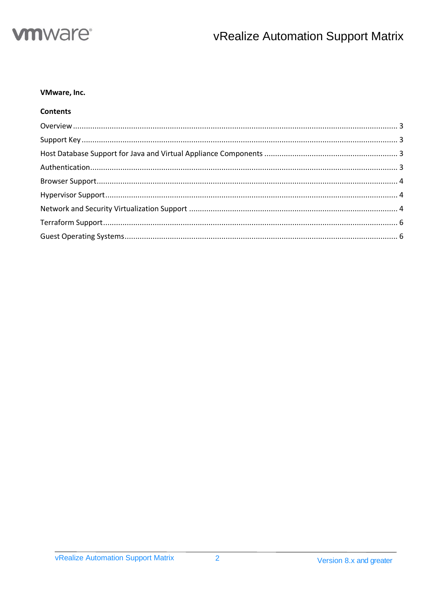

#### VMware, Inc.

### **Contents**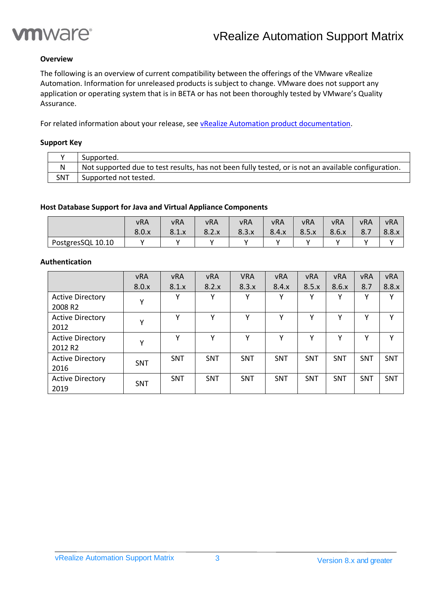

#### <span id="page-2-0"></span>**Overview**

The following is an overview of current compatibility between the offerings of the VMware vRealize Automation. Information for unreleased products is subject to change. VMware does not support any application or operating system that is in BETA or has not been thoroughly tested by VMware's Quality Assurance.

<span id="page-2-1"></span>For related information about your release, see [vRealize Automation product documentation.](https://docs.vmware.com/en/vRealize-Automation/index.html)

#### **Support Key**

|     | Supported.                                                                                          |
|-----|-----------------------------------------------------------------------------------------------------|
| N   | Not supported due to test results, has not been fully tested, or is not an available configuration. |
| SNT | Supported not tested.                                                                               |

#### <span id="page-2-2"></span>**Host Database Support for Java and Virtual Appliance Components**

|                   | <b>vRA</b> | <b>vRA</b> | <b>vRA</b> | <b>vRA</b> | <b>vRA</b> | <b>vRA</b> | vRA   | vRA | <b>vRA</b> |
|-------------------|------------|------------|------------|------------|------------|------------|-------|-----|------------|
|                   | 8.0.x      | 8.1.x      | 8.2.x      | 8.3.x      | 8.4.x      | 8.5.x      | 8.6.x | 8.7 | 8.8.x      |
| PostgresSQL 10.10 |            |            |            |            |            |            |       |     |            |

#### <span id="page-2-3"></span>**Authentication**

|                                                | <b>vRA</b> | <b>vRA</b> | <b>vRA</b>   | <b>VRA</b>   | <b>vRA</b> | <b>vRA</b>   | <b>vRA</b>   | <b>vRA</b> | <b>vRA</b> |
|------------------------------------------------|------------|------------|--------------|--------------|------------|--------------|--------------|------------|------------|
|                                                | 8.0.x      | 8.1.x      | 8.2.x        | 8.3.x        | 8.4.x      | 8.5.x        | 8.6.x        | 8.7        | 8.8.x      |
| <b>Active Directory</b><br>2008 R <sub>2</sub> | v          | v          | v            | Υ            | v          | v            | v            | v          | v          |
| <b>Active Directory</b><br>2012                | v          | v          | $\mathsf{v}$ | $\checkmark$ | v          | $\checkmark$ | v            | v          | v          |
| <b>Active Directory</b><br>2012 R <sub>2</sub> | v          | v          | $\checkmark$ | Υ            | v          | v            | $\checkmark$ | v          | v          |
| <b>Active Directory</b><br>2016                | <b>SNT</b> | <b>SNT</b> | <b>SNT</b>   | <b>SNT</b>   | <b>SNT</b> | <b>SNT</b>   | <b>SNT</b>   | <b>SNT</b> | <b>SNT</b> |
| <b>Active Directory</b><br>2019                | <b>SNT</b> | <b>SNT</b> | <b>SNT</b>   | SNT          | <b>SNT</b> | <b>SNT</b>   | <b>SNT</b>   | <b>SNT</b> | <b>SNT</b> |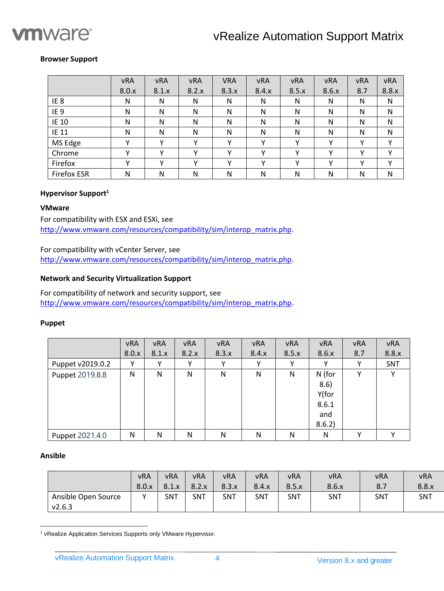

#### <span id="page-3-0"></span>**Browser Support**

|                    | <b>vRA</b>   | <b>vRA</b> | <b>vRA</b> | <b>VRA</b>   | <b>vRA</b> | <b>vRA</b>   | <b>vRA</b> | <b>vRA</b> | <b>vRA</b>   |
|--------------------|--------------|------------|------------|--------------|------------|--------------|------------|------------|--------------|
|                    | 8.0.x        | 8.1.x      | 8.2.x      | 8.3.x        | 8.4.x      | 8.5.x        | 8.6.x      | 8.7        | 8.8.x        |
| IE <sub>8</sub>    | N            | N          | N          | N            | N          | N            | N          | N          | N            |
| IE <sub>9</sub>    | N            | N          | N          | N            | N          | N            | N          | N          | N            |
| IE 10              | N            | N          | N          | N            | N          | N            | N          | N          | N            |
| IE 11              | N            | N          | N          | N            | N          | N            | N          | N          | N            |
| MS Edge            | $\checkmark$ | v          | v          | ۷            | v          | v            | v          | Υ          | Υ            |
| Chrome             | $\checkmark$ | v          | v          | $\checkmark$ | $\cdot$    | $\mathbf{v}$ | v          | v          | $\checkmark$ |
| Firefox            | $\checkmark$ | v          | v          | $\checkmark$ |            |              | v          | v          | $\checkmark$ |
| <b>Firefox ESR</b> | N            | N          | N          | N            | N          | N            | N          | N          | N            |

#### <span id="page-3-1"></span>**Hypervisor Support<sup>1</sup>**

#### **VMware**

For compatibility with ESX and ESXi, see [http://www.vmware.com/resources/compatibility/sim/interop\\_matrix.php.](http://www.vmware.com/resources/compatibility/sim/interop_matrix.php)

For compatibility with vCenter Server, see [http://www.vmware.com/resources/compatibility/sim/interop\\_matrix.php.](http://www.vmware.com/resources/compatibility/sim/interop_matrix.php)

#### <span id="page-3-2"></span>**Network and Security Virtualization Support**

For compatibility of network and security support, see [http://www.vmware.com/resources/compatibility/sim/interop\\_matrix.php.](http://www.vmware.com/resources/compatibility/sim/interop_matrix.php)

#### **Puppet**

|                  | <b>vRA</b> | <b>vRA</b> | <b>vRA</b> | <b>vRA</b> | <b>vRA</b> | <b>vRA</b> | <b>vRA</b> | <b>vRA</b> | <b>vRA</b> |
|------------------|------------|------------|------------|------------|------------|------------|------------|------------|------------|
|                  | 8.0.x      | 8.1.x      | 8.2.x      | 8.3.x      | 8.4.x      | 8.5.x      | 8.6.x      | 8.7        | 8.8.x      |
| Puppet v2019.0.2 | Υ          | v          |            | Υ          | v          |            |            | Υ          | SNT        |
| Puppet 2019.8.8  | N          | N          | N          | N          | N          | N          | N (for     | Υ          | v          |
|                  |            |            |            |            |            |            | 8.6)       |            |            |
|                  |            |            |            |            |            |            | Y(for      |            |            |
|                  |            |            |            |            |            |            | 8.6.1      |            |            |
|                  |            |            |            |            |            |            | and        |            |            |
|                  |            |            |            |            |            |            | 8.6.2      |            |            |
| Puppet 2021.4.0  | N          | N          | N          | N          | N          | N          | N          | v          | v          |

#### **Ansible**

|                     | vRA         | <b>vRA</b> | <b>vRA</b> | <b>vRA</b> | <b>vRA</b> | <b>vRA</b> | <b>vRA</b> | <b>vRA</b> | <b>vRA</b> |
|---------------------|-------------|------------|------------|------------|------------|------------|------------|------------|------------|
|                     | 8.0.x       | 8.1.x      | 8.2.x      | 8.3.x      | 8.4.x      | 8.5.x      | 8.6.x      | 8.7        | 8.8.x      |
| Ansible Open Source | $\mathbf v$ | SNT        | SNT        | SNT        | SNT        | <b>SNT</b> | <b>SNT</b> | <b>SNT</b> | SNT        |
| V2.6.3              |             |            |            |            |            |            |            |            |            |

<sup>1</sup> vRealize Application Services Supports only VMware Hypervisor.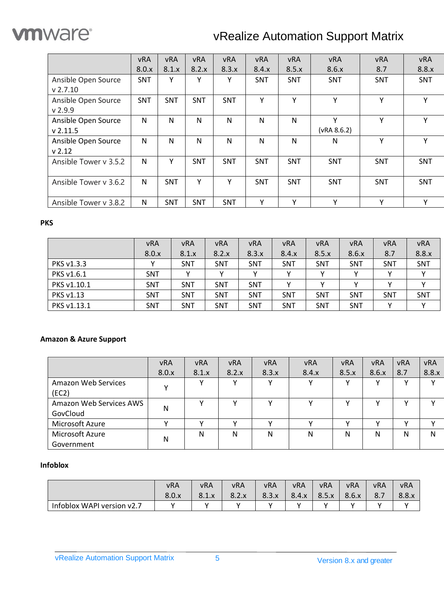

# vRealize Automation Support Matrix

|                       | <b>vRA</b> | <b>vRA</b> | <b>vRA</b> | <b>vRA</b> | <b>vRA</b> | <b>vRA</b> | <b>vRA</b>  | <b>vRA</b> | <b>vRA</b> |
|-----------------------|------------|------------|------------|------------|------------|------------|-------------|------------|------------|
|                       | 8.0.x      | 8.1.x      | 8.2.x      | 8.3.x      | 8.4.x      | 8.5.x      | 8.6.x       | 8.7        | 8.8.x      |
| Ansible Open Source   | <b>SNT</b> | Υ          | Υ          | Υ          | SNT        | <b>SNT</b> | <b>SNT</b>  | SNT        | <b>SNT</b> |
| $v$ 2.7.10            |            |            |            |            |            |            |             |            |            |
| Ansible Open Source   | <b>SNT</b> | <b>SNT</b> | <b>SNT</b> | <b>SNT</b> | Y          | Y          | Υ           | Y          | Υ          |
| $v$ 2.9.9             |            |            |            |            |            |            |             |            |            |
| Ansible Open Source   | N          | N          | N          | N          | N          | N          | Y           | Y          | Y          |
| $v$ 2.11.5            |            |            |            |            |            |            | (VRA 8.6.2) |            |            |
| Ansible Open Source   | N          | N          | N          | N          | N          | N          | N           | Y          | Y          |
| v 2.12                |            |            |            |            |            |            |             |            |            |
| Ansible Tower v 3.5.2 | N          | Υ          | <b>SNT</b> | <b>SNT</b> | <b>SNT</b> | <b>SNT</b> | <b>SNT</b>  | SNT        | <b>SNT</b> |
|                       |            |            |            |            |            |            |             |            |            |
| Ansible Tower v 3.6.2 | N          | <b>SNT</b> | Y          | Y          | <b>SNT</b> | <b>SNT</b> | <b>SNT</b>  | SNT        | <b>SNT</b> |
|                       |            |            |            |            |            |            |             |            |            |
| Ansible Tower v 3.8.2 | N          | <b>SNT</b> | SNT        | <b>SNT</b> | Υ          | Y          | Y           | Y          | Υ          |

### **PKS**

|             | <b>vRA</b> | <b>vRA</b> | <b>vRA</b> | <b>vRA</b> | <b>vRA</b> | <b>vRA</b> | <b>vRA</b> | <b>vRA</b> | <b>vRA</b> |
|-------------|------------|------------|------------|------------|------------|------------|------------|------------|------------|
|             | 8.0.x      | 8.1.x      | 8.2.x      | 8.3.x      | 8.4.x      | 8.5.x      | 8.6.x      | 8.7        | 8.8.x      |
| PKS v1.3.3  |            | SNT        | <b>SNT</b> | <b>SNT</b> | <b>SNT</b> | SNT        | SNT        | <b>SNT</b> | SNT        |
| PKS v1.6.1  | <b>SNT</b> |            |            |            |            |            |            |            |            |
| PKS v1.10.1 | <b>SNT</b> | <b>SNT</b> | <b>SNT</b> | <b>SNT</b> |            |            |            |            |            |
| PKS v1.13   | <b>SNT</b> | <b>SNT</b> | <b>SNT</b> | <b>SNT</b> | <b>SNT</b> | SNT        | <b>SNT</b> | <b>SNT</b> | <b>SNT</b> |
| PKS v1.13.1 | <b>SNT</b> | <b>SNT</b> | <b>SNT</b> | <b>SNT</b> | <b>SNT</b> | SNT        | <b>SNT</b> |            |            |

# **Amazon & Azure Support**

|                                     | <b>vRA</b> | <b>vRA</b> | <b>vRA</b> | <b>vRA</b> | <b>vRA</b> | <b>vRA</b> | <b>vRA</b>   | <b>vRA</b> | <b>vRA</b>   |
|-------------------------------------|------------|------------|------------|------------|------------|------------|--------------|------------|--------------|
|                                     | 8.0.x      | 8.1.x      | 8.2.x      | 8.3.x      | 8.4.x      | 8.5.x      | 8.6.x        | 8.7        | 8.8.x        |
| <b>Amazon Web Services</b><br>(EC2) |            |            |            |            |            |            | $\checkmark$ |            | $\checkmark$ |
| Amazon Web Services AWS<br>GovCloud | N          |            |            |            |            |            |              |            |              |
| Microsoft Azure                     |            |            |            |            |            |            |              | v          |              |
| Microsoft Azure<br>Government       | N          | N          | N          | Ν          | N          | N          | Ν            | N          | N            |

### **Infoblox**

|                            | <b>vRA</b> | vRA   | <b>vRA</b> | vRA   | <b>vRA</b> | vRA   | vRA   | <b>vRA</b> | vRA   |
|----------------------------|------------|-------|------------|-------|------------|-------|-------|------------|-------|
|                            | 8.0.x      | 8.1.x | 8.2.x      | 8.3.x | 8.4.x      | 8.5.x | 8.6.x | O.7        | 8.8.x |
| Infoblox WAPI version v2.7 |            |       |            |       |            |       |       |            |       |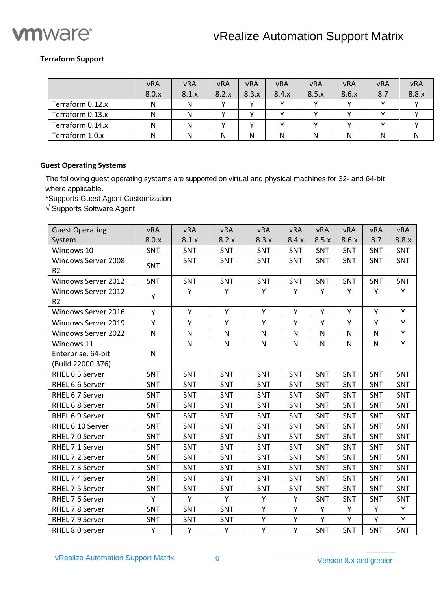

#### <span id="page-5-0"></span>**Terraform Support**

|                  | <b>vRA</b> | <b>vRA</b> | <b>vRA</b> | <b>vRA</b> | <b>vRA</b> | <b>vRA</b> | <b>vRA</b> | <b>vRA</b> | <b>vRA</b> |
|------------------|------------|------------|------------|------------|------------|------------|------------|------------|------------|
|                  | 8.0.x      | 8.1.x      | 8.2.x      | 8.3.x      | 8.4.x      | 8.5.x      | 8.6.x      | 8.7        | 8.8.x      |
| Terraform 0.12.x | N          | N          |            |            |            |            |            |            |            |
| Terraform 0.13.x | N          | N          |            |            |            |            |            |            |            |
| Terraform 0.14.x | Ν          | N          |            |            |            |            |            |            |            |
| Terraform 1.0.x  | Ν          | N          | N          | N          | N          |            | Ν          | N          | N          |

#### <span id="page-5-1"></span>**Guest Operating Systems**

The following guest operating systems are supported on virtual and physical machines for 32- and 64-bit where applicable.

\*Supports Guest Agent Customization

 $\sqrt{S}$  Supports Software Agent

| <b>Guest Operating</b>                  | <b>vRA</b>   | <b>vRA</b>   | <b>vRA</b> | <b>vRA</b> | <b>vRA</b> | vRA       | <b>vRA</b>   | <b>vRA</b>   | <b>vRA</b> |
|-----------------------------------------|--------------|--------------|------------|------------|------------|-----------|--------------|--------------|------------|
| System                                  | 8.0.x        | 8.1.x        | 8.2.x      | 8.3.x      | 8.4.x      | 8.5.x     | 8.6.x        | 8.7          | 8.8.x      |
| Windows 10                              | SNT          | SNT          | SNT        | <b>SNT</b> | SNT        | SNT       | SNT          | SNT          | SNT        |
| Windows Server 2008<br>R <sub>2</sub>   | SNT          | SNT          | SNT        | SNT        | SNT        | SNT       | SNT          | SNT          | SNT        |
| Windows Server 2012                     | SNT          | SNT          | SNT        | SNT        | SNT        | SNT       | SNT          | SNT          | SNT        |
| Windows Server 2012<br>R <sub>2</sub>   | Y            | Y            | Y          | Y          | Y          | Y         | Y            | Y            | Y          |
| Windows Server 2016                     | Y            | Y            | Υ          | Y          | Υ          | Y         | Y            | Y            | Y          |
| Windows Server 2019                     | Υ            | Y            | Υ          | Υ          | Y          | Y         | Y            | Y            | Y          |
| Windows Server 2022                     | $\mathsf{N}$ | $\mathsf{N}$ | N          | N          | N          | ${\sf N}$ | $\mathsf{N}$ | N            | Υ          |
| Windows 11                              |              | N            | N          | ${\sf N}$  | N          | ${\sf N}$ | $\mathsf{N}$ | $\mathsf{N}$ | Υ          |
| Enterprise, 64-bit<br>(Build 22000.376) | $\mathsf{N}$ |              |            |            |            |           |              |              |            |
| RHEL 6.5 Server                         | <b>SNT</b>   | SNT          | SNT        | SNT        | <b>SNT</b> | SNT       | SNT          | <b>SNT</b>   | <b>SNT</b> |
| RHEL 6.6 Server                         | SNT          | SNT          | SNT        | SNT        | SNT        | SNT       | SNT          | SNT          | SNT        |
| RHEL 6.7 Server                         | <b>SNT</b>   | SNT          | SNT        | SNT        | SNT        | SNT       | SNT          | SNT          | SNT        |
| RHEL 6.8 Server                         | SNT          | SNT          | SNT        | SNT        | SNT        | SNT       | SNT          | SNT          | SNT        |
| RHEL 6.9 Server                         | SNT          | <b>SNT</b>   | <b>SNT</b> | SNT        | <b>SNT</b> | SNT       | SNT          | <b>SNT</b>   | <b>SNT</b> |
| RHEL 6.10 Server                        | SNT          | SNT          | SNT        | SNT        | SNT        | SNT       | SNT          | SNT          | SNT        |
| RHEL 7.0 Server                         | SNT          | SNT          | SNT        | SNT        | SNT        | SNT       | SNT          | SNT          | SNT        |
| RHEL 7.1 Server                         | SNT          | SNT          | SNT        | SNT        | SNT        | SNT       | SNT          | SNT          | SNT        |
| RHEL 7.2 Server                         | <b>SNT</b>   | <b>SNT</b>   | SNT        | SNT        | <b>SNT</b> | SNT       | SNT          | <b>SNT</b>   | <b>SNT</b> |
| RHEL 7.3 Server                         | SNT          | SNT          | SNT        | SNT        | SNT        | SNT       | SNT          | SNT          | SNT        |
| RHEL 7.4 Server                         | SNT          | SNT          | SNT        | SNT        | SNT        | SNT       | SNT          | SNT          | SNT        |
| RHEL 7.5 Server                         | SNT          | SNT          | SNT        | SNT        | SNT        | SNT       | SNT          | SNT          | SNT        |
| RHEL 7.6 Server                         | Y            | Y            | Y          | Y          | Υ          | SNT       | SNT          | SNT          | SNT        |
| RHEL 7.8 Server                         | SNT          | SNT          | SNT        | Υ          | Υ          | Y         | Y            | Y            | Υ          |
| RHEL 7.9 Server                         | SNT          | SNT          | SNT        | Y          | Υ          | Y         | Y            | Y            | Y          |
| RHEL 8.0 Server                         | Y            | Υ            | Υ          | Υ          | Υ          | SNT       | SNT          | SNT          | SNT        |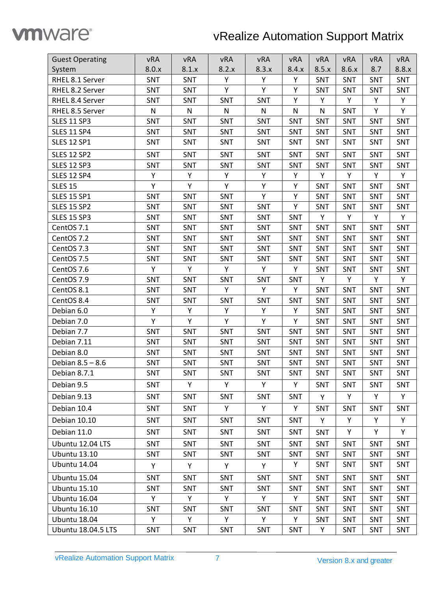

# vRealize Automation Support Matrix

| <b>Guest Operating</b>    | vRA        | vRA        | vRA        | vRA       | vRA          | vRA          | <b>vRA</b> | vRA        | vRA        |
|---------------------------|------------|------------|------------|-----------|--------------|--------------|------------|------------|------------|
| System                    | 8.0.x      | 8.1.x      | 8.2.x      | 8.3.x     | 8.4.x        | 8.5.x        | 8.6.x      | 8.7        | 8.8.x      |
| RHEL 8.1 Server           | SNT        | SNT        | Υ          | Υ<br>Υ    |              | SNT          | SNT        | SNT        | SNT        |
| RHEL 8.2 Server           | SNT        | SNT        | Υ          | Y         | Υ            | SNT          | SNT        | <b>SNT</b> | SNT        |
| RHEL 8.4 Server           | SNT        | SNT        | SNT        | SNT       | Υ            | Y            | Y          | Υ          | Y          |
| RHEL 8.5 Server           | ${\sf N}$  | ${\sf N}$  | ${\sf N}$  | ${\sf N}$ | $\mathsf{N}$ | $\mathsf{N}$ | SNT        | Υ          | Y          |
| <b>SLES 11 SP3</b>        | SNT        | SNT        | SNT        | SNT       | SNT          | SNT          | SNT        | SNT        | SNT        |
| <b>SLES 11 SP4</b>        | SNT        | SNT        | SNT        | SNT       | SNT          | <b>SNT</b>   | SNT        | <b>SNT</b> | SNT        |
| <b>SLES 12 SP1</b>        | SNT        | SNT        | SNT        | SNT       | SNT          | SNT          | SNT        | SNT        | SNT        |
| <b>SLES 12 SP2</b>        | SNT        | <b>SNT</b> | SNT        | SNT       | SNT          | SNT          | SNT        | SNT        | SNT        |
| <b>SLES 12 SP3</b>        | SNT        | SNT        | SNT        | SNT       | SNT          | SNT          | SNT        | SNT        | SNT        |
| <b>SLES 12 SP4</b>        | Y          | Y          | Y          | Y         | Υ            | Y            | Y          | Υ          | Y          |
| <b>SLES 15</b>            | Υ          | Υ          | Υ          | Y         | Υ            | SNT          | SNT        | <b>SNT</b> | SNT        |
| <b>SLES 15 SP1</b>        | SNT        | SNT        | SNT        | Υ         | Υ            | SNT          | SNT        | SNT        | SNT        |
| <b>SLES 15 SP2</b>        | SNT        | SNT        | SNT        | SNT       | Υ            | SNT          | SNT        | SNT        | SNT        |
| <b>SLES 15 SP3</b>        | SNT        | SNT        | SNT        | SNT       | SNT          | Y            | Y          | Y          | Y          |
| CentOS 7.1                | SNT        | SNT        | SNT        | SNT       | SNT          | SNT          | SNT        | SNT        | SNT        |
| CentOS 7.2                | SNT        | SNT        | SNT        | SNT       | SNT          | SNT          | SNT        | <b>SNT</b> | SNT        |
| CentOS 7.3                | SNT        | <b>SNT</b> | SNT        | SNT       | SNT          | SNT          | <b>SNT</b> | SNT        | SNT        |
| CentOS 7.5                | SNT        | SNT        | SNT        | SNT       | SNT          | SNT          | SNT        | SNT        | SNT        |
| CentOS 7.6                | Υ          | Y          | Υ          | Y         | Υ            | SNT          | SNT        | <b>SNT</b> | SNT        |
| CentOS 7.9                | SNT        | SNT        | SNT        | SNT       | SNT          | Y            | Y          | Υ          | Y          |
| CentOS 8.1                | SNT        | SNT        | Υ          | Y         | Υ            | SNT          | SNT        | SNT        | SNT        |
| CentOS 8.4                | SNT        | SNT        | SNT        | SNT       | SNT          | SNT          | SNT        | SNT        | SNT        |
| Debian 6.0                | Y          | Υ          | Y          | Y         | Υ            | SNT          | SNT        | SNT        | SNT        |
| Debian 7.0                | Y          | Υ          | Υ          | Υ         | Υ            | SNT          | SNT        | SNT        | SNT        |
| Debian 7.7                | SNT        | SNT        | SNT        | SNT       | SNT          | SNT          | SNT        | SNT        | <b>SNT</b> |
| Debian 7.11               | SNT        | SNT        | SNT        | SNT       | SNT          | SNT          | SNT        | SNT        | SNT        |
| Debian 8.0                | SNT        | SNT        | SNT        | SNT       | SNT          | SNT          | SNT        | SNT        | SNT        |
| Debian 8.5 - 8.6          | SNT        | SNT        | SNT        | SNT       | <b>SNT</b>   | <b>SNT</b>   | <b>SNT</b> | <b>SNT</b> | SNT        |
| Debian 8.7.1              | SNT        | SNT        | SNT        | SNT       | SNT          | SNT          | SNT        | SNT        | SNT        |
| Debian 9.5                | SNT        | Y          | Υ          | Y         | Υ            | SNT          | SNT        | SNT        | SNT        |
| Debian 9.13               | <b>SNT</b> | SNT        | <b>SNT</b> | SNT       | <b>SNT</b>   | Y            | Y          | Y          | Y          |
| Debian 10.4               | SNT        | <b>SNT</b> | Y          | Y         | Y            | <b>SNT</b>   | <b>SNT</b> | <b>SNT</b> | <b>SNT</b> |
| Debian 10.10              | SNT        | <b>SNT</b> | <b>SNT</b> | SNT       | <b>SNT</b>   | Y            | Υ          | Y          | Y          |
| Debian 11.0               | SNT        | <b>SNT</b> | <b>SNT</b> | SNT       | <b>SNT</b>   | <b>SNT</b>   | Y          | Y          | Y          |
| Ubuntu 12.04 LTS          | SNT        | <b>SNT</b> | SNT        | SNT       | <b>SNT</b>   | <b>SNT</b>   | <b>SNT</b> | <b>SNT</b> | <b>SNT</b> |
| <b>Ubuntu 13.10</b>       | SNT        | <b>SNT</b> | <b>SNT</b> | SNT       | <b>SNT</b>   | <b>SNT</b>   | SNT        | <b>SNT</b> | SNT        |
| Ubuntu 14.04              | Y          | Y          | Y          | Y         | Y            | SNT          | SNT        | SNT        | <b>SNT</b> |
| <b>Ubuntu 15.04</b>       | SNT        | <b>SNT</b> | <b>SNT</b> | SNT       | <b>SNT</b>   | <b>SNT</b>   | <b>SNT</b> | <b>SNT</b> | <b>SNT</b> |
| <b>Ubuntu 15.10</b>       | SNT        | SNT        | <b>SNT</b> | SNT       | SNT          | <b>SNT</b>   | <b>SNT</b> | <b>SNT</b> | <b>SNT</b> |
| Ubuntu 16.04              | Y          | Y          | Y          | Y         | Y            | <b>SNT</b>   | <b>SNT</b> | <b>SNT</b> | <b>SNT</b> |
| <b>Ubuntu 16.10</b>       | SNT        | <b>SNT</b> | SNT        | SNT       | <b>SNT</b>   | SNT          | SNT        | SNT        | SNT        |
| Ubuntu 18.04              | Y          | Y          | Y          | Y         | Y            | <b>SNT</b>   | <b>SNT</b> | <b>SNT</b> | <b>SNT</b> |
| <b>Ubuntu 18.04.5 LTS</b> | SNT        | <b>SNT</b> | SNT        | SNT       | SNT          | Y            | SNT        | SNT        | SNT        |